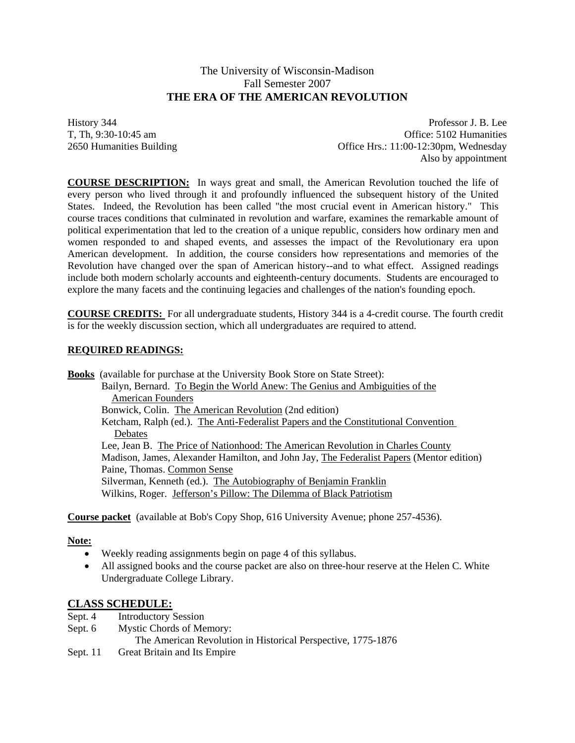# The University of Wisconsin-Madison Fall Semester 2007  **THE ERA OF THE AMERICAN REVOLUTION**

History 344 Professor J. B. Lee T, Th, 9:30-10:45 am Office: 5102 Humanities 2650 Humanities Building Office Hrs.: 11:00-12:30pm, Wednesday Also by appointment

**COURSE DESCRIPTION:** In ways great and small, the American Revolution touched the life of every person who lived through it and profoundly influenced the subsequent history of the United States. Indeed, the Revolution has been called "the most crucial event in American history." This course traces conditions that culminated in revolution and warfare, examines the remarkable amount of political experimentation that led to the creation of a unique republic, considers how ordinary men and women responded to and shaped events, and assesses the impact of the Revolutionary era upon American development. In addition, the course considers how representations and memories of the Revolution have changed over the span of American history--and to what effect. Assigned readings include both modern scholarly accounts and eighteenth-century documents. Students are encouraged to explore the many facets and the continuing legacies and challenges of the nation's founding epoch.

**COURSE CREDITS:** For all undergraduate students, History 344 is a 4-credit course. The fourth credit is for the weekly discussion section, which all undergraduates are required to attend.

## **REQUIRED READINGS:**

**Books** (available for purchase at the University Book Store on State Street): Bailyn, Bernard. To Begin the World Anew: The Genius and Ambiguities of the American Founders Bonwick, Colin. The **American Revolution** (2nd edition) Ketcham, Ralph (ed.). The Anti-Federalist Papers and the Constitutional Convention **Debates**  Lee, Jean B. The Price of Nationhood: The American Revolution in Charles County Madison, James, Alexander Hamilton, and John Jay, The Federalist Papers (Mentor edition) Paine, Thomas. Common Sense Silverman, Kenneth (ed.). The Autobiography of Benjamin Franklin Wilkins, Roger. Jefferson's Pillow: The Dilemma of Black Patriotism

**Course packet** (available at Bob's Copy Shop, 616 University Avenue; phone 257-4536).

#### **Note:**

- Weekly reading assignments begin on page 4 of this syllabus.
- All assigned books and the course packet are also on three-hour reserve at the Helen C. White Undergraduate College Library.

#### **CLASS SCHEDULE:**

- Sept. 4 Introductory Session
- Sept. 6 Mystic Chords of Memory:
	- The American Revolution in Historical Perspective, 1775-1876
- Sept. 11 Great Britain and Its Empire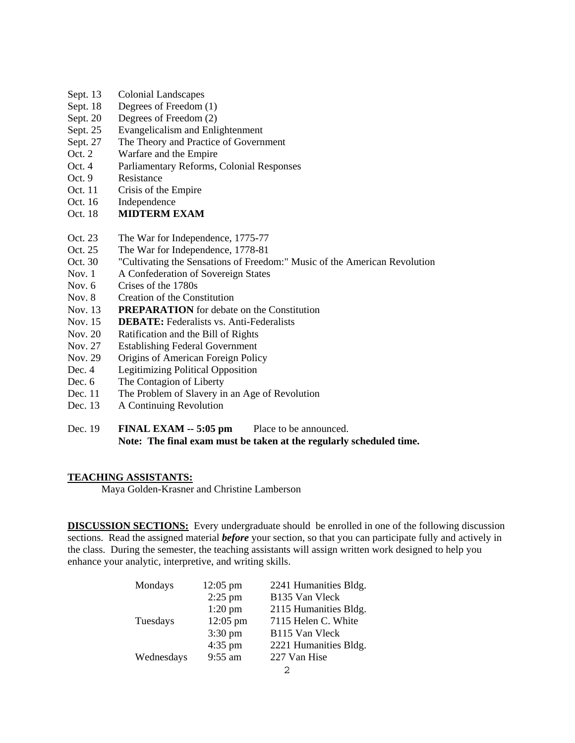- Sept. 13 Colonial Landscapes
- Sept. 18 Degrees of Freedom (1)
- Sept. 20 Degrees of Freedom (2)
- Sept. 25 Evangelicalism and Enlightenment
- Sept. 27 The Theory and Practice of Government
- Oct. 2 Warfare and the Empire
- Oct. 4 Parliamentary Reforms, Colonial Responses
- Oct. 9 Resistance
- Oct. 11 Crisis of the Empire
- Oct. 16 Independence
- Oct. 18 **MIDTERM EXAM**
- Oct. 23 The War for Independence, 1775-77
- Oct. 25 The War for Independence, 1778-81
- Oct. 30 "Cultivating the Sensations of Freedom:" Music of the American Revolution
- Nov. 1 A Confederation of Sovereign States
- Nov. 6 Crises of the 1780s
- Nov. 8 Creation of the Constitution
- Nov. 13 **PREPARATION** for debate on the Constitution
- Nov. 15 **DEBATE:** Federalists vs. Anti-Federalists
- Nov. 20 Ratification and the Bill of Rights
- Nov. 27 Establishing Federal Government
- Nov. 29 Origins of American Foreign Policy
- Dec. 4 Legitimizing Political Opposition
- Dec. 6 The Contagion of Liberty
- Dec. 11 The Problem of Slavery in an Age of Revolution
- Dec. 13 A Continuing Revolution
- Dec. 19 **FINAL EXAM -- 5:05 pm** Place to be announced. **Note: The final exam must be taken at the regularly scheduled time.**

#### **TEACHING ASSISTANTS:**

Maya Golden-Krasner and Christine Lamberson

**DISCUSSION SECTIONS:** Every undergraduate should be enrolled in one of the following discussion sections. Read the assigned material *before* your section, so that you can participate fully and actively in the class. During the semester, the teaching assistants will assign written work designed to help you enhance your analytic, interpretive, and writing skills.

| Mondays    | $12:05 \text{ pm}$ | 2241 Humanities Bldg.      |
|------------|--------------------|----------------------------|
|            | $2:25$ pm          | B135 Van Vleck             |
|            | $1:20$ pm          | 2115 Humanities Bldg.      |
| Tuesdays   | $12:05 \text{ pm}$ | 7115 Helen C. White        |
|            | $3:30 \text{ pm}$  | B <sub>115</sub> Van Vleck |
|            | 4:35 pm            | 2221 Humanities Bldg.      |
| Wednesdays | 9:55 am            | 227 Van Hise               |